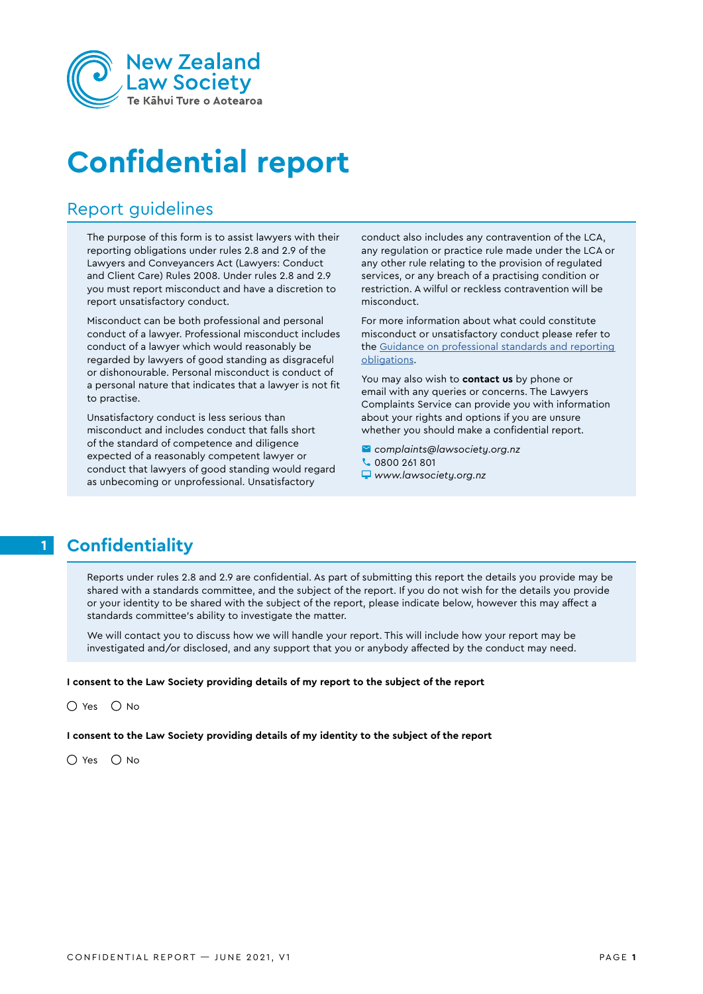

# **Confidential report**

### Report guidelines

The purpose of this form is to assist lawyers with their reporting obligations under rules 2.8 and 2.9 of the Lawyers and Conveyancers Act (Lawyers: Conduct and Client Care) Rules 2008. Under rules 2.8 and 2.9 you must report misconduct and have a discretion to report unsatisfactory conduct.

Misconduct can be both professional and personal conduct of a lawyer. Professional misconduct includes conduct of a lawyer which would reasonably be regarded by lawyers of good standing as disgraceful or dishonourable. Personal misconduct is conduct of a personal nature that indicates that a lawyer is not fit to practise.

Unsatisfactory conduct is less serious than misconduct and includes conduct that falls short of the standard of competence and diligence expected of a reasonably competent lawyer or conduct that lawyers of good standing would regard as unbecoming or unprofessional. Unsatisfactory

conduct also includes any contravention of the LCA, any regulation or practice rule made under the LCA or any other rule relating to the provision of regulated services, or any breach of a practising condition or restriction. A wilful or reckless contravention will be misconduct.

For more information about what could constitute misconduct or unsatisfactory conduct please refer to the [Guidance on professional standards and reporting](https://www.lawsociety.org.nz/assets/Professional-practice-docs/Rules-and-Guidelines/Guidance-on-professional-standards-and-reporting-obligations-FINAL.pdf)  [obligations](https://www.lawsociety.org.nz/assets/Professional-practice-docs/Rules-and-Guidelines/Guidance-on-professional-standards-and-reporting-obligations-FINAL.pdf).

You may also wish to **contact us** by phone or email with any queries or concerns. The Lawyers Complaints Service can provide you with information about your rights and options if you are unsure whether you should make a confidential report.

- *complaints@lawsociety.org.nz*
- **C** 0800 261 801
- *www.lawsociety.org.nz*

## **1 Confidentiality**

Reports under rules 2.8 and 2.9 are confidential. As part of submitting this report the details you provide may be shared with a standards committee, and the subject of the report. If you do not wish for the details you provide or your identity to be shared with the subject of the report, please indicate below, however this may affect a standards committee's ability to investigate the matter.

We will contact you to discuss how we will handle your report. This will include how your report may be investigated and/or disclosed, and any support that you or anybody affected by the conduct may need.

#### **I consent to the Law Society providing details of my report to the subject of the report**

Yes  $\bigcirc$  No

**I consent to the Law Society providing details of my identity to the subject of the report**

Yes  $\bigcirc$  No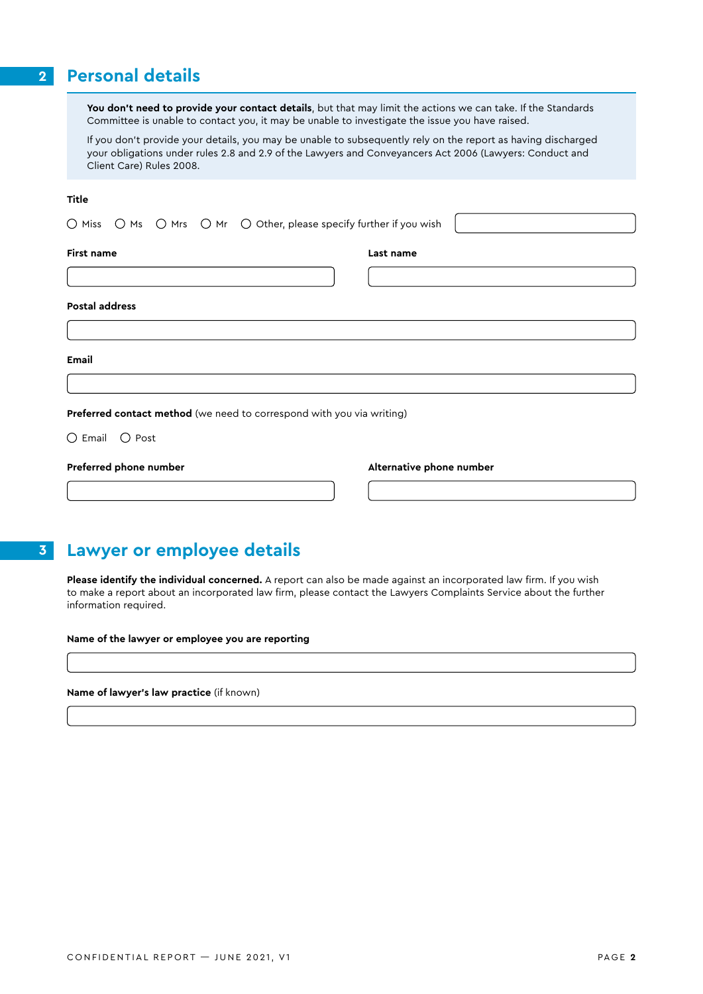### **2 Personal details**

**You don't need to provide your contact details**, but that may limit the actions we can take. If the Standards Committee is unable to contact you, it may be unable to investigate the issue you have raised.

If you don't provide your details, you may be unable to subsequently rely on the report as having discharged your obligations under rules 2.8 and 2.9 of the Lawyers and Conveyancers Act 2006 (Lawyers: Conduct and Client Care) Rules 2008.

#### **Title**

|  |  |  |  | $\bigcirc$ Miss $\ \bigcirc$ Ms $\ \bigcirc$ Mrs $\ \bigcirc$ Mr $\ \bigcirc$ Other, please specify further if you wish $\  $ |  |
|--|--|--|--|-------------------------------------------------------------------------------------------------------------------------------|--|
|--|--|--|--|-------------------------------------------------------------------------------------------------------------------------------|--|

#### **First name**

**Last name**

#### **Postal address**

**Email**

**Preferred contact method** (we need to correspond with you via writing)

Email  $\hspace{.1cm}$   $\hspace{.1cm}$   $\hspace{.1cm}$  Post

| Preferred phone number |  |
|------------------------|--|
|                        |  |

**Alternative phone number**

### **3 Lawyer or employee details**

**Please identify the individual concerned.** A report can also be made against an incorporated law firm. If you wish to make a report about an incorporated law firm, please contact the Lawyers Complaints Service about the further information required.

**Name of the lawyer or employee you are reporting**

**Name of lawyer's law practice** (if known)